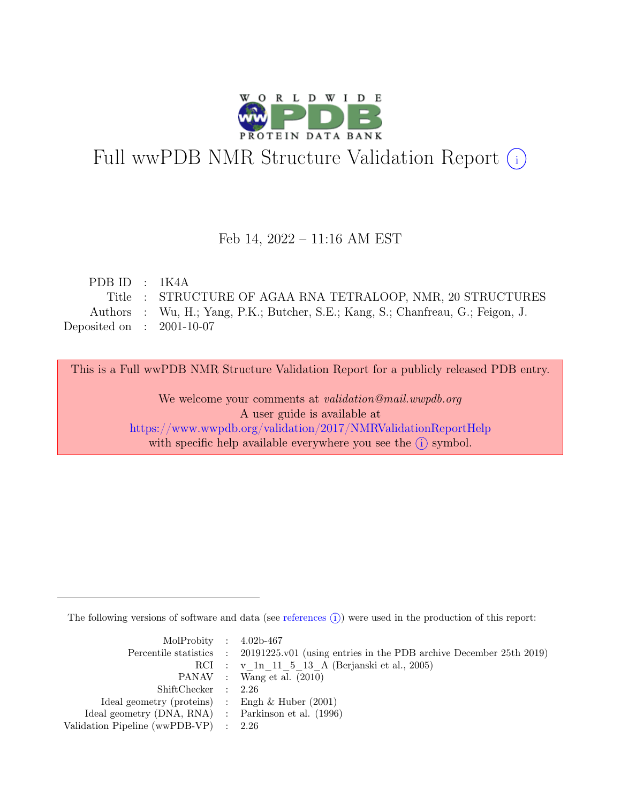

# Full wwPDB NMR Structure Validation Report (i)

### Feb 14, 2022 – 11:16 AM EST

| PDB ID : $1K4A$             |                                                                                  |
|-----------------------------|----------------------------------------------------------------------------------|
|                             | Title : STRUCTURE OF AGAA RNA TETRALOOP, NMR, 20 STRUCTURES                      |
|                             | Authors : Wu, H.; Yang, P.K.; Butcher, S.E.; Kang, S.; Chanfreau, G.; Feigon, J. |
| Deposited on : $2001-10-07$ |                                                                                  |

This is a Full wwPDB NMR Structure Validation Report for a publicly released PDB entry.

We welcome your comments at *validation@mail.wwpdb.org* A user guide is available at <https://www.wwpdb.org/validation/2017/NMRValidationReportHelp> with specific help available everywhere you see the  $(i)$  symbol.

The following versions of software and data (see [references](https://www.wwpdb.org/validation/2017/NMRValidationReportHelp#references)  $\hat{I}$ ) were used in the production of this report:

| MolProbity : $4.02b-467$                            |                                                                                            |
|-----------------------------------------------------|--------------------------------------------------------------------------------------------|
|                                                     | Percentile statistics : 20191225.v01 (using entries in the PDB archive December 25th 2019) |
|                                                     | RCI : v 1n 11 5 13 A (Berjanski et al., 2005)                                              |
|                                                     | PANAV : Wang et al. (2010)                                                                 |
| ShiftChecker : 2.26                                 |                                                                                            |
| Ideal geometry (proteins) : Engh $\&$ Huber (2001)  |                                                                                            |
| Ideal geometry (DNA, RNA) : Parkinson et al. (1996) |                                                                                            |
| Validation Pipeline (wwPDB-VP) $\therefore$ 2.26    |                                                                                            |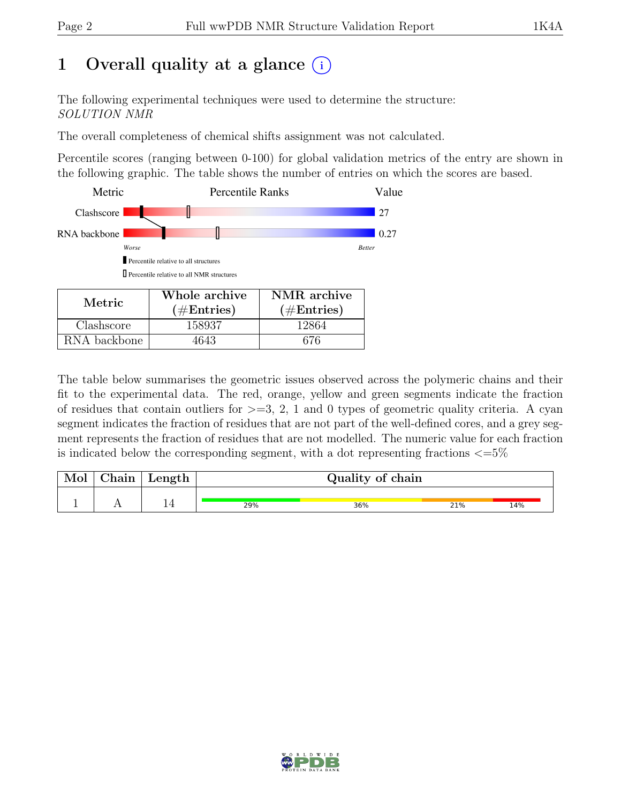# 1 Overall quality at a glance  $(i)$

The following experimental techniques were used to determine the structure: SOLUTION NMR

The overall completeness of chemical shifts assignment was not calculated.

Percentile scores (ranging between 0-100) for global validation metrics of the entry are shown in the following graphic. The table shows the number of entries on which the scores are based.



RNA backbone | 4643 | 676

The table below summarises the geometric issues observed across the polymeric chains and their fit to the experimental data. The red, orange, yellow and green segments indicate the fraction of residues that contain outliers for  $>=$  3, 2, 1 and 0 types of geometric quality criteria. A cyan segment indicates the fraction of residues that are not part of the well-defined cores, and a grey segment represents the fraction of residues that are not modelled. The numeric value for each fraction is indicated below the corresponding segment, with a dot representing fractions  $\epsilon = 5\%$ 

| Mol | $\alpha$ hain | Length | Quality of chain |     |     |     |
|-----|---------------|--------|------------------|-----|-----|-----|
|     |               |        | 29%              | 36% | 21% | 14% |

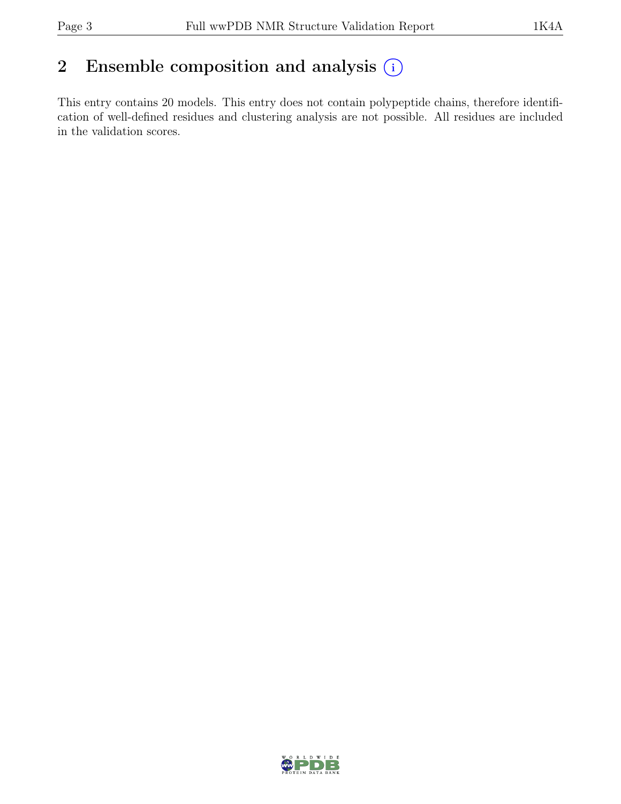# 2 Ensemble composition and analysis  $(i)$

This entry contains 20 models. This entry does not contain polypeptide chains, therefore identification of well-defined residues and clustering analysis are not possible. All residues are included in the validation scores.

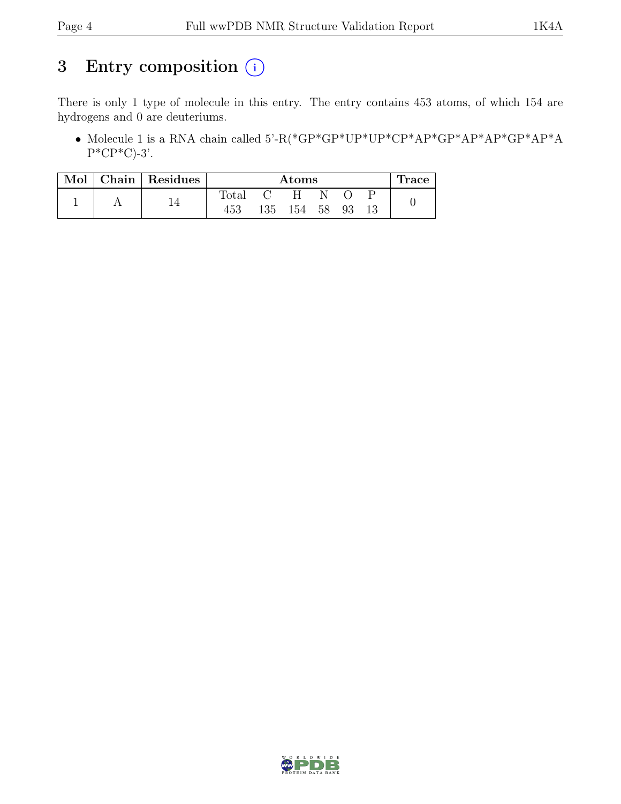# 3 Entry composition  $(i)$

There is only 1 type of molecule in this entry. The entry contains 453 atoms, of which 154 are hydrogens and 0 are deuteriums.

• Molecule 1 is a RNA chain called 5'-R(\*GP\*GP\*UP\*UP\*CP\*AP\*GP\*AP\*AP\*GP\*AP\*A  $P^*CP^*C$ -3'.

| Mol |  | Chain   Residues | Atoms |     |    |    | <b>Trace</b> |  |  |
|-----|--|------------------|-------|-----|----|----|--------------|--|--|
|     |  |                  | Total |     |    |    |              |  |  |
|     |  | 453              | 135   | 154 | 58 | 93 |              |  |  |

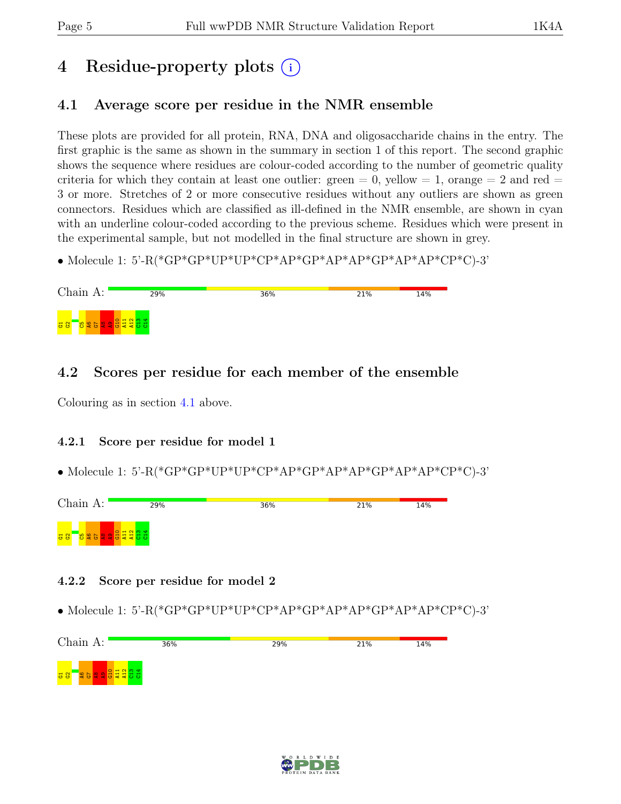# 4 Residue-property plots  $(i)$

# <span id="page-4-0"></span>4.1 Average score per residue in the NMR ensemble

These plots are provided for all protein, RNA, DNA and oligosaccharide chains in the entry. The first graphic is the same as shown in the summary in section 1 of this report. The second graphic shows the sequence where residues are colour-coded according to the number of geometric quality criteria for which they contain at least one outlier: green  $= 0$ , yellow  $= 1$ , orange  $= 2$  and red  $=$ 3 or more. Stretches of 2 or more consecutive residues without any outliers are shown as green connectors. Residues which are classified as ill-defined in the NMR ensemble, are shown in cyan with an underline colour-coded according to the previous scheme. Residues which were present in the experimental sample, but not modelled in the final structure are shown in grey.

• Molecule 1: 5'-R(\*GP\*GP\*UP\*UP\*CP\*AP\*GP\*AP\*AP\*GP\*AP\*AP\*CP\*C)-3'

| Chain A:                              | 29% | 36% | 21% | 14% |
|---------------------------------------|-----|-----|-----|-----|
| <b>Besearchand</b><br><mark>등용</mark> |     |     |     |     |

## 4.2 Scores per residue for each member of the ensemble

Colouring as in section [4.1](#page-4-0) above.

### 4.2.1 Score per residue for model 1

• Molecule 1: 5'-R(\*GP\*GP\*UP\*UP\*CP\*AP\*GP\*AP\*AP\*GP\*AP\*AP\*CP\*C)-3'



### 4.2.2 Score per residue for model 2

• Molecule 1: 5'-R(\*GP\*GP\*UP\*UP\*CP\*AP\*GP\*AP\*AP\*GP\*AP\*AP\*CP\*C)-3'

| Chain $A:$                                                 | 36% | 29% | 21% | 14% |
|------------------------------------------------------------|-----|-----|-----|-----|
| <mark>명 않</mark><br>$\frac{1}{2}$<br><b> 일품불불품품</b>  <br>δ |     |     |     |     |

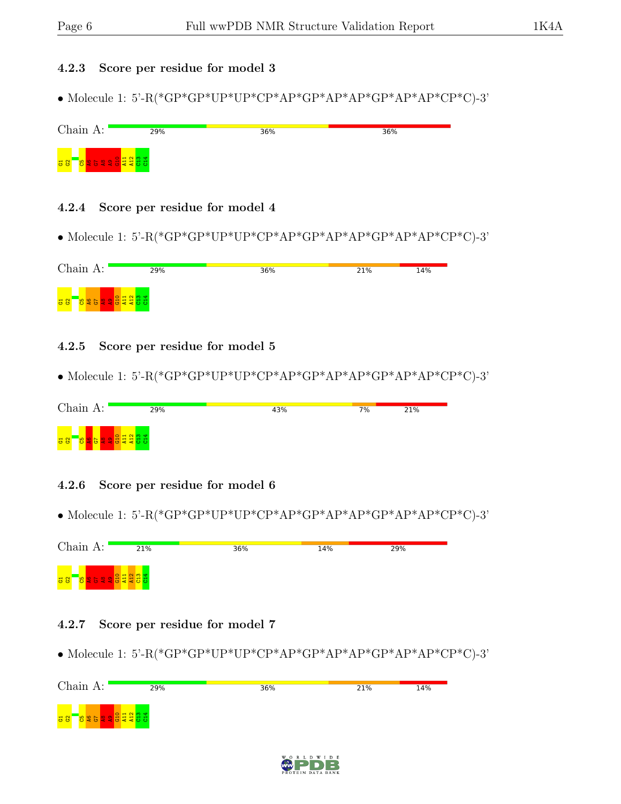#### 4.2.3 Score per residue for model 3

• Molecule 1: 5'-R(\*GP\*GP\*UP\*UP\*CP\*AP\*GP\*AP\*AP\*GP\*AP\*AP\*CP\*C)-3'

| Chain A:                                                   | 29% | 36% | 36% |
|------------------------------------------------------------|-----|-----|-----|
| <b>L<mark>ogo de de de 19</mark>84</b><br><mark>ថ ន</mark> |     |     |     |

#### 4.2.4 Score per residue for model 4

• Molecule 1: 5'-R(\*GP\*GP\*UP\*UP\*CP\*AP\*GP\*AP\*AP\*GP\*AP\*AP\*CP\*C)-3'

| Chain A:                           | 29%                                       | 36% | 21% | 14% |
|------------------------------------|-------------------------------------------|-----|-----|-----|
| <mark>등용</mark><br><b>B</b> 2<br>ಲ | $\mathbf -$<br><u>ਜ ਜ ਜ</u><br>$= 504400$ |     |     |     |

### 4.2.5 Score per residue for model 5

• Molecule 1: 5'-R(\*GP\*GP\*UP\*UP\*CP\*AP\*GP\*AP\*AP\*GP\*AP\*AP\*CP\*C)-3'

| Chain A:                                                                  | 29% | 43% | 7% | 21% |
|---------------------------------------------------------------------------|-----|-----|----|-----|
| $\circ$ $\sim$ $\circ$<br>$\frac{1}{6}$ $\frac{1}{6}$<br>— —<br><b>PO</b> |     |     |    |     |

### 4.2.6 Score per residue for model 6

• Molecule 1: 5'-R(\*GP\*GP\*UP\*UP\*CP\*AP\*GP\*AP\*AP\*GP\*AP\*AP\*CP\*C)-3'

| Chain A:         | 21%                                                         | 36% | 14% | 29% |
|------------------|-------------------------------------------------------------|-----|-----|-----|
| <mark>룡 않</mark> | $\blacksquare$ $\blacksquare$ $\blacksquare$ $\blacksquare$ |     |     |     |

#### 4.2.7 Score per residue for model 7

 $\bullet$  Molecule 1: 5'-R(\*GP\*GP\*UP\*UP\*CP\*AP\*GP\*AP\*AP\*GP\*AP\*CP\*C)-3'



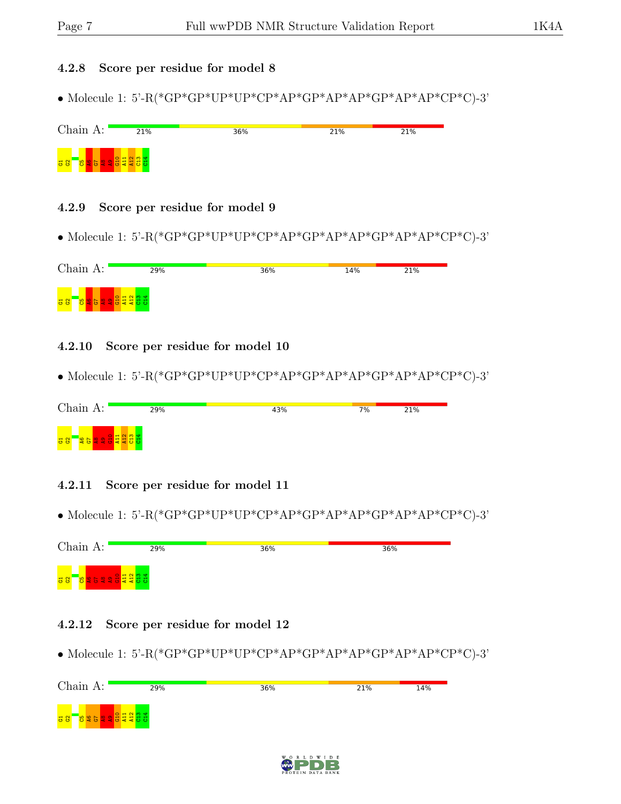#### 4.2.8 Score per residue for model 8

• Molecule 1: 5'-R(\*GP\*GP\*UP\*UP\*CP\*AP\*GP\*AP\*AP\*GP\*AP\*AP\*CP\*C)-3'



#### 4.2.9 Score per residue for model 9

• Molecule 1: 5'-R(\*GP\*GP\*UP\*UP\*CP\*AP\*GP\*AP\*AP\*GP\*AP\*AP\*CP\*C)-3'

| Chain A:                      | 29%          | 36% | 14% | 21% |
|-------------------------------|--------------|-----|-----|-----|
| $\frac{1}{2}$<br>$\mathbf{g}$ | $\mathbf{H}$ |     |     |     |

#### 4.2.10 Score per residue for model 10

• Molecule 1: 5'-R(\*GP\*GP\*UP\*UP\*CP\*AP\*GP\*AP\*AP\*GP\*AP\*AP\*CP\*C)-3'

| Chain A:      | 29% | 43% | 7% | 21% |
|---------------|-----|-----|----|-----|
| $\frac{a}{2}$ |     |     |    |     |

- 4.2.11 Score per residue for model 11
- Molecule 1: 5'-R(\*GP\*GP\*UP\*UP\*CP\*AP\*GP\*AP\*AP\*GP\*AP\*AP\*CP\*C)-3'

| Chain A:                              | 29% | 36% | 36% |  |
|---------------------------------------|-----|-----|-----|--|
| <b>Besee SERE</b><br><mark>공 않</mark> |     |     |     |  |

#### 4.2.12 Score per residue for model 12

• Molecule 1: 5'-R(\*GP\*GP\*UP\*UP\*CP\*AP\*GP\*AP\*AP\*GP\*AP\*AP\*CP\*C)-3'



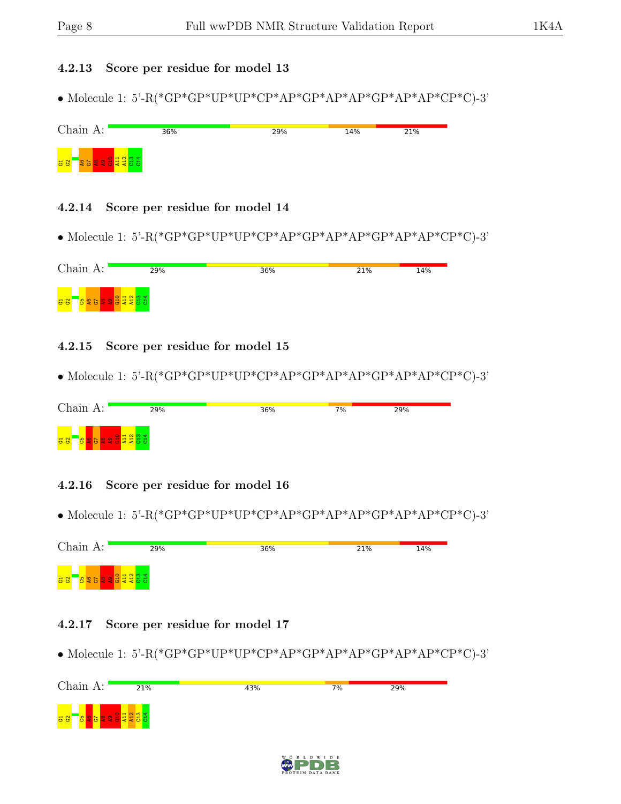#### 4.2.13 Score per residue for model 13

• Molecule 1: 5'-R(\*GP\*GP\*UP\*UP\*CP\*AP\*GP\*AP\*AP\*GP\*AP\*AP\*CP\*C)-3'

| Chain A:                    | 36% | 29% | 14% | 21% |
|-----------------------------|-----|-----|-----|-----|
| $\frac{1}{6}$ $\frac{1}{6}$ |     |     |     |     |

#### 4.2.14 Score per residue for model 14

• Molecule 1: 5'-R(\*GP\*GP\*UP\*UP\*CP\*AP\*GP\*AP\*AP\*GP\*AP\*AP\*CP\*C)-3'

| Chain A:                                  | 29%                             | 36% | 21% | 14% |
|-------------------------------------------|---------------------------------|-----|-----|-----|
| $\frac{1}{6}$ $\frac{1}{6}$<br><b>925</b> | $\blacksquare$<br><b>REBEED</b> |     |     |     |

### 4.2.15 Score per residue for model 15

• Molecule 1: 5'-R(\*GP\*GP\*UP\*UP\*CP\*AP\*GP\*AP\*AP\*GP\*AP\*AP\*CP\*C)-3'

| Chain A:                    | 29%                                                                                                                    | 36% | $7\%$ | 29% |  |
|-----------------------------|------------------------------------------------------------------------------------------------------------------------|-----|-------|-----|--|
| $\frac{1}{6}$ $\frac{1}{6}$ | $\sqrt{2}$ $\frac{1}{2}$ $\frac{1}{2}$ $\frac{1}{2}$ $\frac{1}{2}$ $\frac{1}{2}$ $\frac{1}{2}$ $\frac{1}{2}$<br>$\sim$ |     |       |     |  |

### 4.2.16 Score per residue for model 16

• Molecule 1: 5'-R(\*GP\*GP\*UP\*UP\*CP\*AP\*GP\*AP\*AP\*GP\*AP\*AP\*CP\*C)-3'

| Chain A:                                                                                                            | 29% | 36% | 21% | 14% |
|---------------------------------------------------------------------------------------------------------------------|-----|-----|-----|-----|
| $ $ $\circ$ $ $ $\sim$ $\sim$ $\sim$ $\sim$<br><mark>공용</mark><br><b>99</b><br>  <b>오롱북북동</b> 5 <br>~<br>-è9<br>ı z |     |     |     |     |

#### 4.2.17 Score per residue for model 17

• Molecule 1: 5'-R(\*GP\*GP\*UP\*UP\*CP\*AP\*GP\*AP\*AP\*GP\*AP\*AP\*CP\*C)-3'



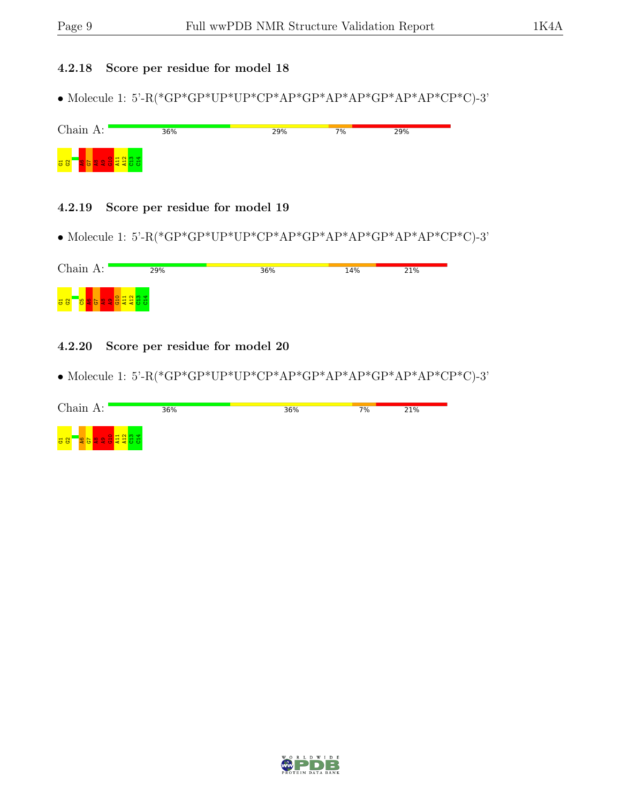### 4.2.18 Score per residue for model 18

 $\bullet$  Molecule 1: 5'-R(\*GP\*GP\*UP\*UP\*CP\*AP\*GP\*AP\*AP\*GP\*AP\*CP\*C)-3'

| Chain A:                    | 36% | 29% | 7% | 29% |
|-----------------------------|-----|-----|----|-----|
| $\frac{1}{6}$ $\frac{1}{6}$ |     |     |    |     |

#### 4.2.19 Score per residue for model 19

 $\bullet$  Molecule 1: 5'-R(\*GP\*GP\*UP\*UP\*CP\*AP\*GP\*AP\*AP\*GP\*AP\*CP\*C)-3'

| Chain A:                                    | 29%                                                | 36% | 14% | 21% |
|---------------------------------------------|----------------------------------------------------|-----|-----|-----|
| $\frac{1}{6}$ $\frac{1}{6}$<br>lо<br>l et i | $\overline{H}$ (<br>불불풍풍<br>l Bill<br>$\mathbf{d}$ |     |     |     |

### 4.2.20 Score per residue for model 20

• Molecule 1: 5'-R(\*GP\*GP\*UP\*UP\*CP\*AP\*GP\*AP\*AP\*GP\*AP\*CP\*C)-3'

| Chain A:              | 36% | 36% | $7\%$ | 21% |
|-----------------------|-----|-----|-------|-----|
| ਾ ਦਾ<br>$\frac{a}{a}$ |     |     |       |     |

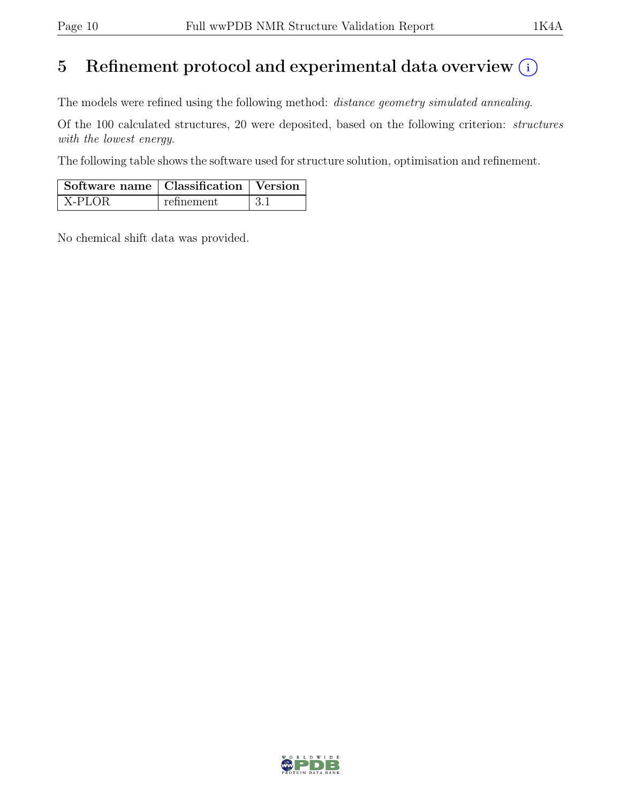# 5 Refinement protocol and experimental data overview  $(i)$

The models were refined using the following method: distance geometry simulated annealing.

Of the 100 calculated structures, 20 were deposited, based on the following criterion: structures with the lowest energy.

The following table shows the software used for structure solution, optimisation and refinement.

| $\vert$ Software name $\vert$ Classification $\vert$ Version |            |  |
|--------------------------------------------------------------|------------|--|
| X-PLOR                                                       | refinement |  |

No chemical shift data was provided.

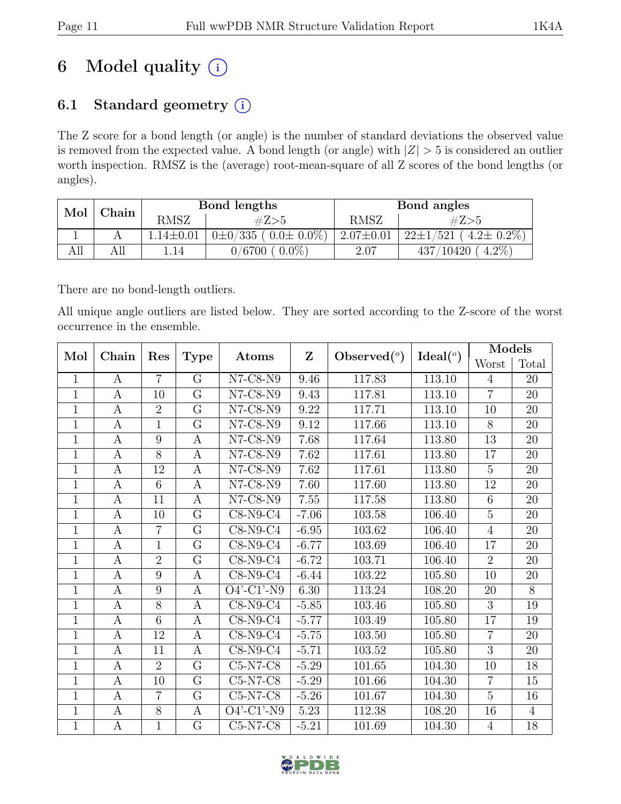# 6 Model quality  $(i)$

# 6.1 Standard geometry  $(i)$

The Z score for a bond length (or angle) is the number of standard deviations the observed value is removed from the expected value. A bond length (or angle) with  $|Z| > 5$  is considered an outlier worth inspection. RMSZ is the (average) root-mean-square of all Z scores of the bond lengths (or angles).

| Mol | $\operatorname{\mathbb{C}}$ hain | Bond lengths    |                                 | Bond angles     |                                                    |
|-----|----------------------------------|-----------------|---------------------------------|-----------------|----------------------------------------------------|
|     |                                  | <b>RMSZ</b>     | #Z>5                            | RMSZ            | #Z>5                                               |
|     |                                  | $1.14 \pm 0.01$ | $0\pm 0/335$ ( $0.0\pm 0.0\%$ ) | $2.07 \pm 0.01$ | $(4.2 \pm 0.2\%)$<br>$22 \pm 1/$<br>$^{\prime}521$ |
| AП  | All                              | l.14            | $0.0\%$<br>0/6700               | 2.07            | $4.2\%$<br>10420                                   |

There are no bond-length outliers.

All unique angle outliers are listed below. They are sorted according to the Z-score of the worst occurrence in the ensemble.

|                | Mol<br>Chain     |                |                  |                               | $\mathbf{Z}$<br>Observed $(°)$ | Ideal $(°)$ | Models |                |                |
|----------------|------------------|----------------|------------------|-------------------------------|--------------------------------|-------------|--------|----------------|----------------|
|                |                  | Res            | <b>Type</b>      | Atoms                         |                                |             |        | Worst          | Total          |
| $\mathbf{1}$   | A                | $\overline{7}$ | G                | $N7$ -C8- $N9$                | 9.46                           | 117.83      | 113.10 | $\overline{4}$ | 20             |
| $\mathbf{1}$   | $\boldsymbol{A}$ | 10             | $\overline{G}$   | $N7$ -C8- $N9$                | 9.43                           | 117.81      | 113.10 | $\overline{7}$ | 20             |
| $\mathbf{1}$   | $\boldsymbol{A}$ | $\overline{2}$ | G                | $N7$ -C8- $N9$                | 9.22                           | 117.71      | 113.10 | 10             | $20\,$         |
| $\mathbf{1}$   | $\boldsymbol{A}$ | $\mathbf{1}$   | $\overline{G}$   | $N7$ -C8- $N9$                | 9.12                           | 117.66      | 113.10 | 8              | 20             |
| $\mathbf{1}$   | $\boldsymbol{A}$ | 9              | $\boldsymbol{A}$ | $N7$ -C8- $N9$                | 7.68                           | 117.64      | 113.80 | 13             | 20             |
| $\mathbf{1}$   | $\boldsymbol{A}$ | 8              | $\boldsymbol{A}$ | $N7$ -C8- $N9$                | 7.62                           | 117.61      | 113.80 | 17             | $20\,$         |
| $\mathbf{1}$   | $\boldsymbol{A}$ | 12             | $\boldsymbol{A}$ | $N7$ -C8- $N9$                | 7.62                           | 117.61      | 113.80 | $\overline{5}$ | 20             |
| $\mathbf{1}$   | $\boldsymbol{A}$ | 6              | $\boldsymbol{A}$ | $N7$ -C8- $N9$                | 7.60                           | 117.60      | 113.80 | 12             | 20             |
| $\mathbf{1}$   | $\boldsymbol{A}$ | 11             | $\boldsymbol{A}$ | $\overline{\text{N}}$ 7-C8-N9 | 7.55                           | 117.58      | 113.80 | 6              | 20             |
| $\mathbf{1}$   | $\boldsymbol{A}$ | 10             | G                | $C8-N9-C4$                    | $-7.06$                        | 103.58      | 106.40 | $\overline{5}$ | 20             |
| $\mathbf{1}$   | $\boldsymbol{A}$ | $\overline{7}$ | $\overline{G}$   | $C8-N9-C4$                    | $-6.95$                        | 103.62      | 106.40 | $\overline{4}$ | 20             |
| $\mathbf{1}$   | $\boldsymbol{A}$ | $\mathbf{1}$   | $\overline{G}$   | $C8-N9-C4$                    | $-6.77$                        | 103.69      | 106.40 | 17             | 20             |
| $\mathbf{1}$   | $\boldsymbol{A}$ | $\overline{2}$ | $\rm G$          | $C8-N9-C4$                    | $-6.72$                        | 103.71      | 106.40 | $\overline{2}$ | 20             |
| $\mathbf{1}$   | $\boldsymbol{A}$ | 9              | $\boldsymbol{A}$ | $C8-N9-C4$                    | $-6.44$                        | 103.22      | 105.80 | 10             | 20             |
| $\mathbf{1}$   | $\boldsymbol{A}$ | 9              | $\boldsymbol{A}$ | $O4'$ -C1'-N9                 | 6.30                           | 113.24      | 108.20 | 20             | 8              |
| $\mathbf{1}$   | $\boldsymbol{A}$ | $\overline{8}$ | $\boldsymbol{A}$ | $C8-N9-C4$                    | $-5.85$                        | 103.46      | 105.80 | $\overline{3}$ | 19             |
| $\mathbf{1}$   | $\mathbf{A}$     | 6              | $\boldsymbol{A}$ | $C8-N9-C4$                    | $-5.77$                        | 103.49      | 105.80 | 17             | 19             |
| $\mathbf{1}$   | $\boldsymbol{A}$ | 12             | $\boldsymbol{A}$ | $C8-N9-C4$                    | $-5.75$                        | 103.50      | 105.80 | $\overline{7}$ | 20             |
| $\mathbf{1}$   | $\boldsymbol{A}$ | 11             | $\boldsymbol{A}$ | $C8-N9-C4$                    | $-5.71$                        | 103.52      | 105.80 | $\overline{3}$ | 20             |
| $\mathbf{1}$   | А                | $\overline{2}$ | $\rm G$          | $C5-N7-C8$                    | $-5.29$                        | 101.65      | 104.30 | 10             | 18             |
| $\overline{1}$ | $\boldsymbol{A}$ | 10             | $\rm G$          | $C5-N7-C8$                    | $-5.29$                        | 101.66      | 104.30 | $\overline{7}$ | $15\,$         |
| $\overline{1}$ | $\boldsymbol{A}$ | $\overline{7}$ | $\rm G$          | $C5-N7-C8$                    | $-5.26$                        | 101.67      | 104.30 | $\overline{5}$ | $16\,$         |
| $\mathbf{1}$   | $\boldsymbol{A}$ | 8              | A                | $O4'$ -C1'-N9                 | 5.23                           | 112.38      | 108.20 | 16             | $\overline{4}$ |
| $\mathbf{1}$   | $\boldsymbol{A}$ | $\mathbf{1}$   | $\overline{G}$   | $C5-N7-C8$                    | $-5.21$                        | 101.69      | 104.30 | $\overline{4}$ | 18             |

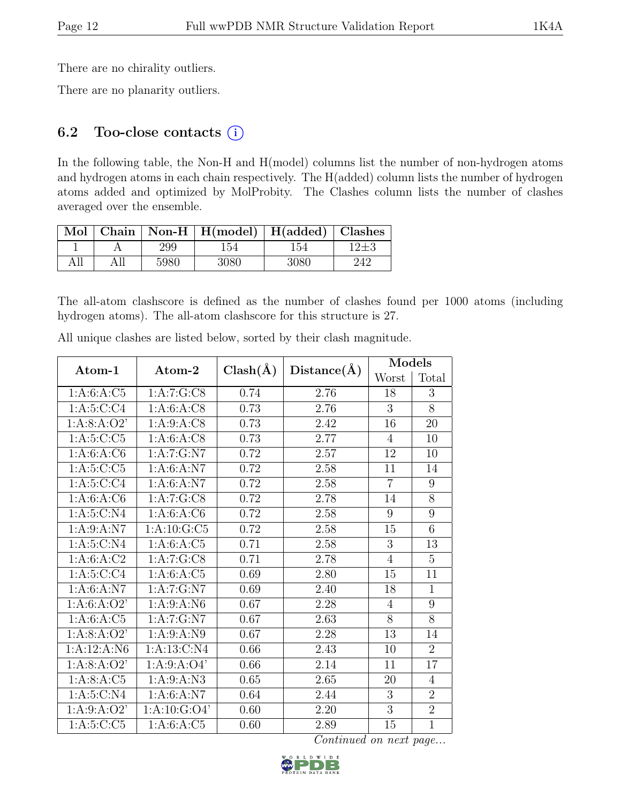There are no chirality outliers.

There are no planarity outliers.

## 6.2 Too-close contacts  $(i)$

In the following table, the Non-H and H(model) columns list the number of non-hydrogen atoms and hydrogen atoms in each chain respectively. The H(added) column lists the number of hydrogen atoms added and optimized by MolProbity. The Clashes column lists the number of clashes averaged over the ensemble.

| Mol |      | Chain   Non-H   $H(model)$   $H(added)$   Clashes |      |     |
|-----|------|---------------------------------------------------|------|-----|
|     | 299  | 154                                               | 154  |     |
|     | 5980 | 3080                                              | 3080 | 242 |

The all-atom clashscore is defined as the number of clashes found per 1000 atoms (including hydrogen atoms). The all-atom clashscore for this structure is 27.

| Atom-1        | Atom-2                  | $Clash(\AA)$ | Distance(A) | Models         |                |
|---------------|-------------------------|--------------|-------------|----------------|----------------|
|               |                         |              |             | Worst          | Total          |
| 1:A:6:A:C5    | 1:A:7:G:CS              | 0.74         | 2.76        | 18             | 3              |
| 1: A:5: C:C4  | 1: A:6: A: C8           | 0.73         | 2.76        | 3              | 8              |
| 1: A:8: A:O2' | 1:A:9:A:C <sub>8</sub>  | 0.73         | 2.42        | 16             | 20             |
| 1: A:5: C: C5 | 1: A:6: A: C8           | 0.73         | 2.77        | 4              | 10             |
| 1: A:6: A: C6 | 1:A:7:G:N7              | 0.72         | 2.57        | 12             | 10             |
| 1: A:5: C: C5 | 1: A:6: A: N7           | 0.72         | 2.58        | 11             | 14             |
| 1: A:5: C: C4 | 1: A:6: A: N7           | 0.72         | 2.58        | $\overline{7}$ | 9              |
| 1: A:6: A: C6 | 1:A:7:G:CS              | 0.72         | 2.78        | 14             | 8              |
| 1: A:5: C: N4 | 1: A:6: A: C6           | 0.72         | 2.58        | 9              | 9              |
| 1: A:9: A: N7 | 1: A: 10: G: C5         | 0.72         | 2.58        | 15             | 6              |
| 1: A:5: C: N4 | 1:A:6:A:C5              | 0.71         | 2.58        | $\overline{3}$ | 13             |
| 1: A:6: A:C2  | 1:A:7:G:C8              | 0.71         | 2.78        | $\overline{4}$ | $\overline{5}$ |
| 1: A:5: C:C4  | $1:A:6:A:\overline{C5}$ | 0.69         | 2.80        | 15             | 11             |
| 1: A:6: A: N7 | 1:A:7:G:N7              | 0.69         | 2.40        | 18             | $\mathbf{1}$   |
| 1: A:6: A:O2' | 1: A:9: A: N6           | 0.67         | 2.28        | $\overline{4}$ | 9              |
| 1: A:6: A: C5 | 1:A:7:G:N7              | 0.67         | 2.63        | $\overline{8}$ | $\overline{8}$ |
| 1: A:8: A:O2' | 1: A:9: A: N9           | 0.67         | 2.28        | 13             | 14             |
| 1:A:12:A:N6   | 1:A:13:C:N4             | 0.66         | 2.43        | 10             | $\overline{2}$ |
| 1: A:8: A:O2' | 1: A:9: A:O4'           | 0.66         | 2.14        | 11             | 17             |
| 1: A:8: A:C5  | 1: A:9: A:N3            | 0.65         | 2.65        | 20             | $\overline{4}$ |
| 1: A:5:C:N4   | 1: A:6: A: N7           | 0.64         | 2.44        | 3              | $\overline{2}$ |
| 1: A:9: A:O2' | 1: A: 10: G: O4'        | 0.60         | 2.20        | 3              | $\overline{2}$ |
| 1: A:5:C:C5   | 1: A:6: A: C5           | 0.60         | 2.89        | 15             | $\overline{1}$ |

All unique clashes are listed below, sorted by their clash magnitude.

Continued on next page...

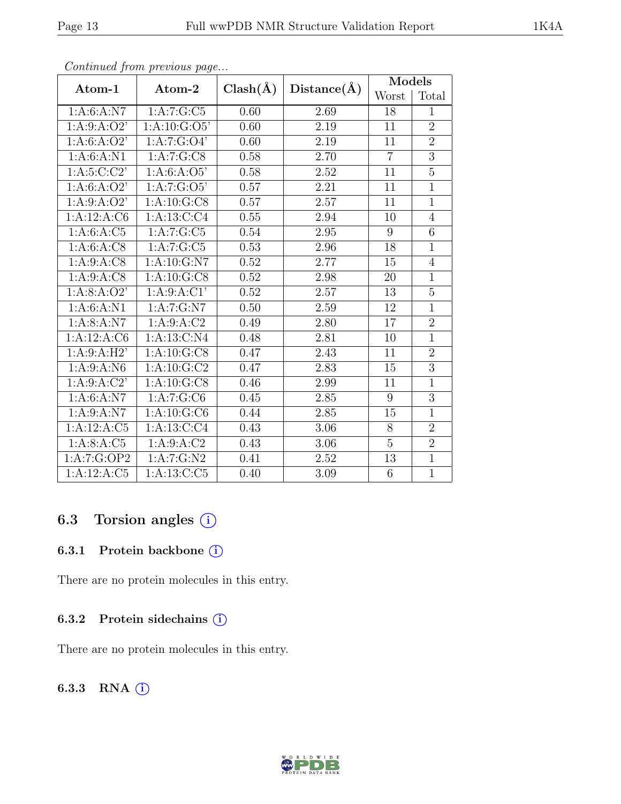|                         | ◡                       | $Clash(\AA)$      |                   | Models         |                |
|-------------------------|-------------------------|-------------------|-------------------|----------------|----------------|
| Atom-1                  | Atom-2                  |                   | Distance(A)       | Worst          | Total          |
| 1: A:6: A: N7           | 1:A:7:G:C5              | 0.60              | 2.69              | 18             | $\mathbf{1}$   |
| 1: A:9: A:O2'           | 1:A:10:G:O5'            | 0.60              | 2.19              | 11             | $\overline{2}$ |
| 1: A:6: A:O2'           | 1:A:7:G:O4'             | 0.60              | 2.19              | 11             | $\overline{2}$ |
| 1: A:6: A: N1           | 1:A:7:G:CS              | 0.58              | 2.70              | $\overline{7}$ | $\overline{3}$ |
| 1: A:5:C:C2'            | 1: A:6: A:O5'           | 0.58              | 2.52              | 11             | $\overline{5}$ |
| 1: A:6: A:O2'           | 1:A:7:G:O5'             | $\overline{0.57}$ | $\overline{2.21}$ | 11             | $\overline{1}$ |
| 1: A:9: A:O2'           | 1:A:10:G:CS             | 0.57              | 2.57              | 11             | $\mathbf{1}$   |
| 1:A:12:A:CG             | 1: A: 13: C: C4         | 0.55              | 2.94              | 10             | $\overline{4}$ |
| 1:A:6:A:C5              | $1:A:7:\overline{G:C5}$ | 0.54              | 2.95              | $\overline{9}$ | $\overline{6}$ |
| 1: A:6: A: C8           | 1:A:7:G:C5              | 0.53              | 2.96              | 18             | $\mathbf{1}$   |
| 1: A:9: A: C8           | 1: A: 10: G: N7         | 0.52              | 2.77              | 15             | $\overline{4}$ |
| 1: A:9: A: C8           | 1: A: 10: G: C8         | 0.52              | 2.98              | 20             | $\mathbf{1}$   |
| 1: A:8: A:O2'           | 1: A:9: A:CI'           | 0.52              | 2.57              | 13             | $\overline{5}$ |
| 1: A:6: A: N1           | 1:A:7:G:N7              | 0.50              | 2.59              | 12             | $\mathbf{1}$   |
| 1: A:8: A: N7           | 1:A:9:A:C <sub>2</sub>  | 0.49              | 2.80              | 17             | $\overline{2}$ |
| 1:A:12:A:C6             | 1: A: 13: C: N4         | 0.48              | 2.81              | 10             | $\overline{1}$ |
| 1:A:9:A:H2'             | 1: A: 10: G: C8         | 0.47              | 2.43              | 11             | $\overline{2}$ |
| 1: A:9: A: N6           | 1:A:10:G:C2             | 0.47              | 2.83              | 15             | $\overline{3}$ |
| 1: A:9: A: C2'          | 1: A: 10: G: CS         | 0.46              | 2.99              | 11             | $\overline{1}$ |
| $1:A:6:A:\overline{N7}$ | 1:A:7:G:C6              | 0.45              | 2.85              | 9              | $\overline{3}$ |
| 1: A:9: A: N7           | 1: A: 10: G: C6         | 0.44              | 2.85              | 15             | $\mathbf{1}$   |
| 1:A:12:A:C5             | 1:A:13:C:C4             | 0.43              | 3.06              | 8              | $\overline{2}$ |
| 1: A:8: A:C5            | 1: A:9: A: C2           | 0.43              | 3.06              | $\overline{5}$ | $\overline{2}$ |
| 1:A:7:G:OP2             | 1:A:7:G:N2              | 0.41              | 2.52              | 13             | $\overline{1}$ |
| 1:A:12:A:C5             | 1: A:13: C: C5          | 0.40              | 3.09              | 6              | $\mathbf{1}$   |

Continued from previous page...

# 6.3 Torsion angles (i)

### 6.3.1 Protein backbone ①

There are no protein molecules in this entry.

#### 6.3.2 Protein sidechains  $(i)$

There are no protein molecules in this entry.

### 6.3.3 RNA (i)

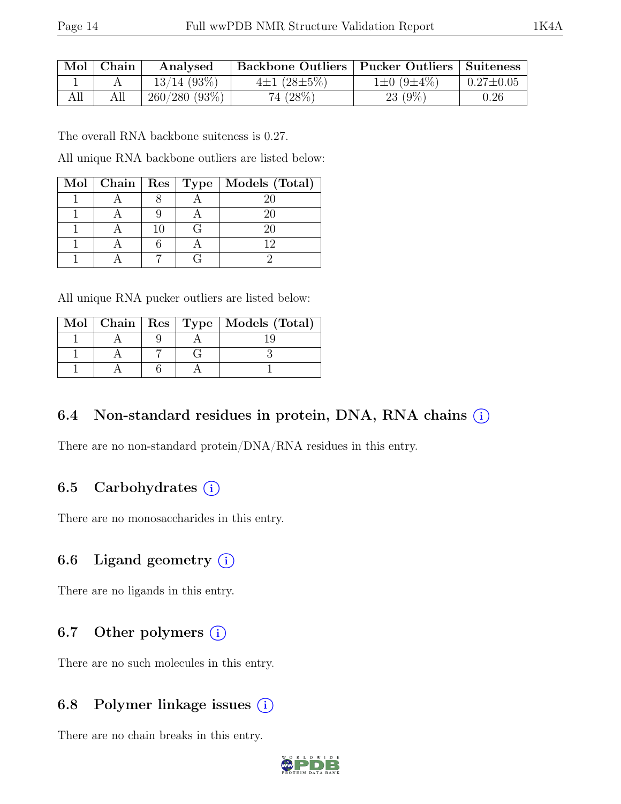| Mol   Chain | Analysed       | Backbone Outliers   Pucker Outliers   Suiteness |                  |                 |
|-------------|----------------|-------------------------------------------------|------------------|-----------------|
|             | $13/14$ (93\%) | $4\pm1(28\pm5\%)$                               | $1\pm0(9\pm4\%)$ | $0.27 \pm 0.05$ |
| All         | 260/280(93%)   | 74 (28\%)                                       | $23(9\%)$        | 0.26            |

The overall RNA backbone suiteness is 0.27.

All unique RNA backbone outliers are listed below:

|  |     | Mol   Chain   Res   Type   Models (Total) |
|--|-----|-------------------------------------------|
|  |     |                                           |
|  |     |                                           |
|  | 1 ( |                                           |
|  |     |                                           |
|  |     |                                           |

| All unique RNA pucker outliers are listed below: |  |  |  |  |  |  |  |  |
|--------------------------------------------------|--|--|--|--|--|--|--|--|
|--------------------------------------------------|--|--|--|--|--|--|--|--|

|  |  | Mol   Chain   Res   Type   Models (Total) |
|--|--|-------------------------------------------|
|  |  |                                           |
|  |  |                                           |
|  |  |                                           |

## 6.4 Non-standard residues in protein, DNA, RNA chains  $(i)$

There are no non-standard protein/DNA/RNA residues in this entry.

## 6.5 Carbohydrates  $(i)$

There are no monosaccharides in this entry.

### 6.6 Ligand geometry  $(i)$

There are no ligands in this entry.

# 6.7 Other polymers  $(i)$

There are no such molecules in this entry.

## 6.8 Polymer linkage issues  $(i)$

There are no chain breaks in this entry.